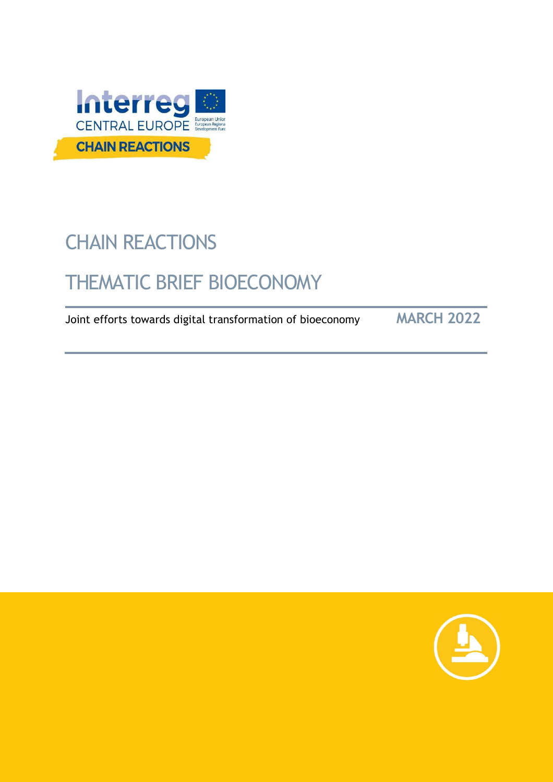

# CHAIN REACTIONS

## THEMATIC BRIEF BIOECONOMY

Joint efforts towards digital transformation of bioeconomy **MARCH 2022**

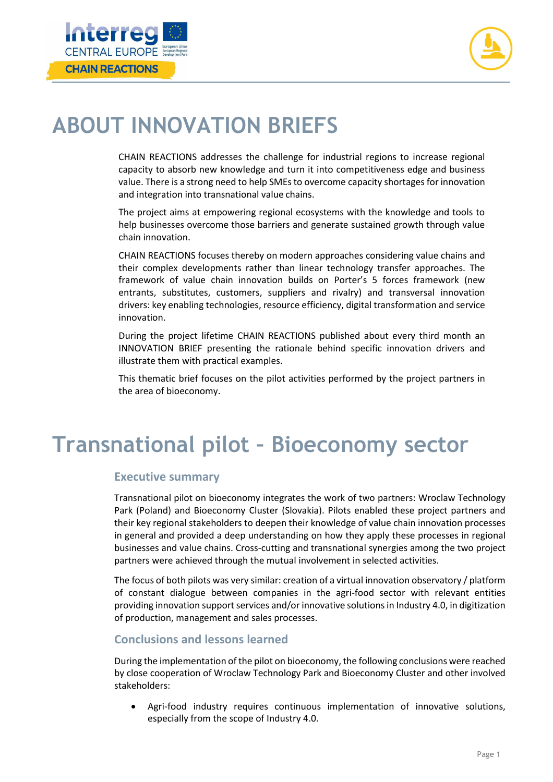



## **ABOUT INNOVATION BRIEFS**

CHAIN REACTIONS addresses the challenge for industrial regions to increase regional capacity to absorb new knowledge and turn it into competitiveness edge and business value. There is a strong need to help SMEsto overcome capacity shortagesfor innovation and integration into transnational value chains.

The project aims at empowering regional ecosystems with the knowledge and tools to help businesses overcome those barriers and generate sustained growth through value chain innovation.

CHAIN REACTIONS focuses thereby on modern approaches considering value chains and their complex developments rather than linear technology transfer approaches. The framework of value chain innovation builds on Porter's 5 forces framework (new entrants, substitutes, customers, suppliers and rivalry) and transversal innovation drivers: key enabling technologies, resource efficiency, digital transformation and service innovation.

During the project lifetime CHAIN REACTIONS published about every third month an INNOVATION BRIEF presenting the rationale behind specific innovation drivers and illustrate them with practical examples.

This thematic brief focuses on the pilot activities performed by the project partners in the area of bioeconomy.

## **Transnational pilot – Bioeconomy sector**

#### **Executive summary**

Transnational pilot on bioeconomy integrates the work of two partners: Wroclaw Technology Park (Poland) and Bioeconomy Cluster (Slovakia). Pilots enabled these project partners and their key regional stakeholders to deepen their knowledge of value chain innovation processes in general and provided a deep understanding on how they apply these processes in regional businesses and value chains. Cross-cutting and transnational synergies among the two project partners were achieved through the mutual involvement in selected activities.

The focus of both pilots was very similar: creation of a virtual innovation observatory / platform of constant dialogue between companies in the agri-food sector with relevant entities providing innovation support services and/or innovative solutions in Industry 4.0, in digitization of production, management and sales processes.

### **Conclusions and lessons learned**

During the implementation of the pilot on bioeconomy, the following conclusions were reached by close cooperation of Wroclaw Technology Park and Bioeconomy Cluster and other involved stakeholders:

• Agri-food industry requires continuous implementation of innovative solutions, especially from the scope of Industry 4.0.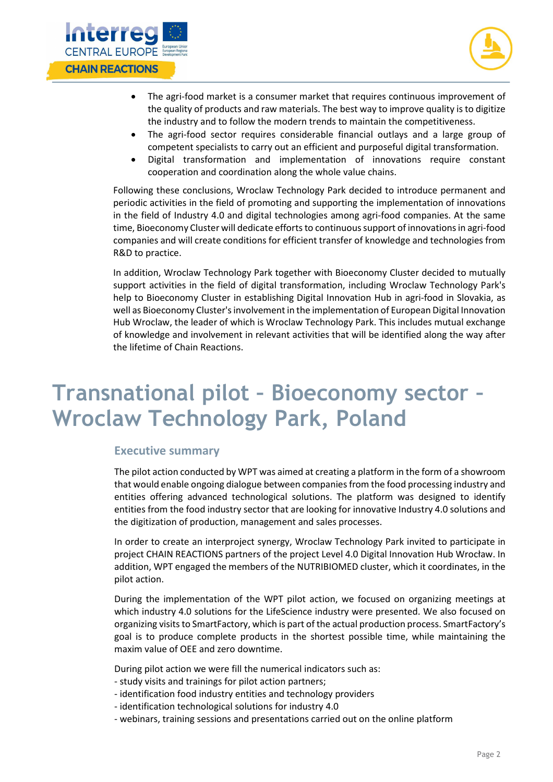



- The agri-food market is a consumer market that requires continuous improvement of the quality of products and raw materials. The best way to improve quality is to digitize the industry and to follow the modern trends to maintain the competitiveness.
- The agri-food sector requires considerable financial outlays and a large group of competent specialists to carry out an efficient and purposeful digital transformation.
- Digital transformation and implementation of innovations require constant cooperation and coordination along the whole value chains.

Following these conclusions, Wroclaw Technology Park decided to introduce permanent and periodic activities in the field of promoting and supporting the implementation of innovations in the field of Industry 4.0 and digital technologies among agri-food companies. At the same time, Bioeconomy Cluster will dedicate efforts to continuous support of innovations in agri-food companies and will create conditions for efficient transfer of knowledge and technologies from R&D to practice.

In addition, Wroclaw Technology Park together with Bioeconomy Cluster decided to mutually support activities in the field of digital transformation, including Wroclaw Technology Park's help to Bioeconomy Cluster in establishing Digital Innovation Hub in agri-food in Slovakia, as well as Bioeconomy Cluster's involvement in the implementation of European Digital Innovation Hub Wroclaw, the leader of which is Wroclaw Technology Park. This includes mutual exchange of knowledge and involvement in relevant activities that will be identified along the way after the lifetime of Chain Reactions.

## **Transnational pilot – Bioeconomy sector – Wroclaw Technology Park, Poland**

#### **Executive summary**

The pilot action conducted by WPT was aimed at creating a platform in the form of a showroom that would enable ongoing dialogue between companies from the food processing industry and entities offering advanced technological solutions. The platform was designed to identify entities from the food industry sector that are looking for innovative Industry 4.0 solutions and the digitization of production, management and sales processes.

In order to create an interproject synergy, Wroclaw Technology Park invited to participate in project CHAIN REACTIONS partners of the project Level 4.0 Digital Innovation Hub Wrocław. In addition, WPT engaged the members of the NUTRIBIOMED cluster, which it coordinates, in the pilot action.

During the implementation of the WPT pilot action, we focused on organizing meetings at which industry 4.0 solutions for the LifeScience industry were presented. We also focused on organizing visits to SmartFactory, which is part of the actual production process. SmartFactory's goal is to produce complete products in the shortest possible time, while maintaining the maxim value of OEE and zero downtime.

During pilot action we were fill the numerical indicators such as:

- study visits and trainings for pilot action partners;
- identification food industry entities and technology providers
- identification technological solutions for industry 4.0
- webinars, training sessions and presentations carried out on the online platform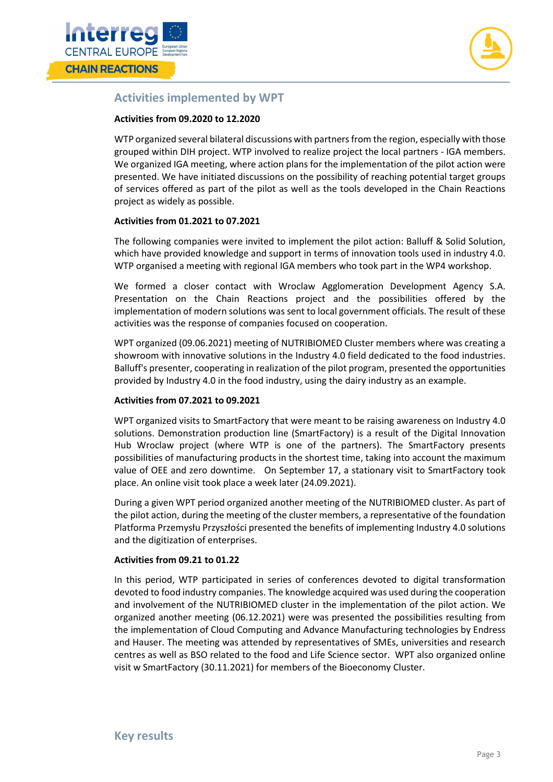



### **Activities implemented by WPT**

#### **Activities from 09.2020 to 12.2020**

WTP organized several bilateral discussions with partners from the region, especially with those grouped within DIH project. WTP involved to realize project the local partners - IGA members. We organized IGA meeting, where action plans for the implementation of the pilot action were presented. We have initiated discussions on the possibility of reaching potential target groups of services offered as part of the pilot as well as the tools developed in the Chain Reactions project as widely as possible.

#### **Activities from 01.2021 to 07.2021**

The following companies were invited to implement the pilot action: Balluff & Solid Solution, which have provided knowledge and support in terms of innovation tools used in industry 4.0. WTP organised a meeting with regional IGA members who took part in the WP4 workshop.

We formed a closer contact with Wroclaw Agglomeration Development Agency S.A. Presentation on the Chain Reactions project and the possibilities offered by the implementation of modern solutions was sent to local government officials. The result of these activities was the response of companies focused on cooperation.

WPT organized (09.06.2021) meeting of NUTRIBIOMED Cluster members where was creating a showroom with innovative solutions in the Industry 4.0 field dedicated to the food industries. Balluff's presenter, cooperating in realization of the pilot program, presented the opportunities provided by Industry 4.0 in the food industry, using the dairy industry as an example.

#### **Activities from 07.2021 to 09.2021**

WPT organized visits to SmartFactory that were meant to be raising awareness on Industry 4.0 solutions. Demonstration production line (SmartFactory) is a result of the Digital Innovation Hub Wroclaw project (where WTP is one of the partners). The SmartFactory presents possibilities of manufacturing products in the shortest time, taking into account the maximum value of OEE and zero downtime. On September 17, a stationary visit to SmartFactory took place. An online visit took place a week later (24.09.2021).

During a given WPT period organized another meeting of the NUTRIBIOMED cluster. As part of the pilot action, during the meeting of the cluster members, a representative of the foundation Platforma Przemysłu Przyszłości presented the benefits of implementing Industry 4.0 solutions and the digitization of enterprises.

#### **Activities from 09.21 to 01.22**

In this period, WTP participated in series of conferences devoted to digital transformation devoted to food industry companies. The knowledge acquired was used during the cooperation and involvement of the NUTRIBIOMED cluster in the implementation of the pilot action. We organized another meeting (06.12.2021) were was presented the possibilities resulting from the implementation of Cloud Computing and Advance Manufacturing technologies by Endress and Hauser. The meeting was attended by representatives of SMEs, universities and research centres as well as BSO related to the food and Life Science sector. WPT also organized online visit w SmartFactory (30.11.2021) for members of the Bioeconomy Cluster.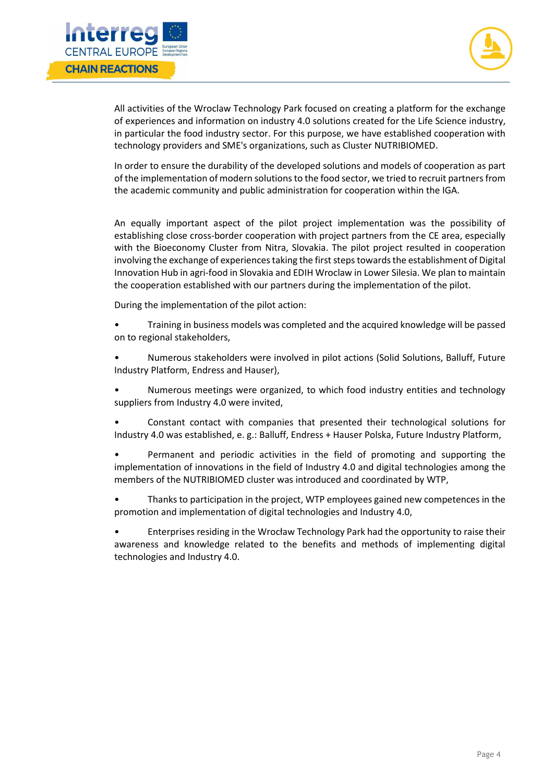



All activities of the Wroclaw Technology Park focused on creating a platform for the exchange of experiences and information on industry 4.0 solutions created for the Life Science industry, in particular the food industry sector. For this purpose, we have established cooperation with technology providers and SME's organizations, such as Cluster NUTRIBIOMED.

In order to ensure the durability of the developed solutions and models of cooperation as part of the implementation of modern solutions to the food sector, we tried to recruit partners from the academic community and public administration for cooperation within the IGA.

An equally important aspect of the pilot project implementation was the possibility of establishing close cross-border cooperation with project partners from the CE area, especially with the Bioeconomy Cluster from Nitra, Slovakia. The pilot project resulted in cooperation involving the exchange of experiences taking the first steps towards the establishment of Digital Innovation Hub in agri-food in Slovakia and EDIH Wroclaw in Lower Silesia. We plan to maintain the cooperation established with our partners during the implementation of the pilot.

During the implementation of the pilot action:

• Training in business models was completed and the acquired knowledge will be passed on to regional stakeholders,

• Numerous stakeholders were involved in pilot actions (Solid Solutions, Balluff, Future Industry Platform, Endress and Hauser),

• Numerous meetings were organized, to which food industry entities and technology suppliers from Industry 4.0 were invited,

• Constant contact with companies that presented their technological solutions for Industry 4.0 was established, e. g.: Balluff, Endress + Hauser Polska, Future Industry Platform,

• Permanent and periodic activities in the field of promoting and supporting the implementation of innovations in the field of Industry 4.0 and digital technologies among the members of the NUTRIBIOMED cluster was introduced and coordinated by WTP,

• Thanks to participation in the project, WTP employees gained new competences in the promotion and implementation of digital technologies and Industry 4.0,

• Enterprises residing in the Wrocław Technology Park had the opportunity to raise their awareness and knowledge related to the benefits and methods of implementing digital technologies and Industry 4.0.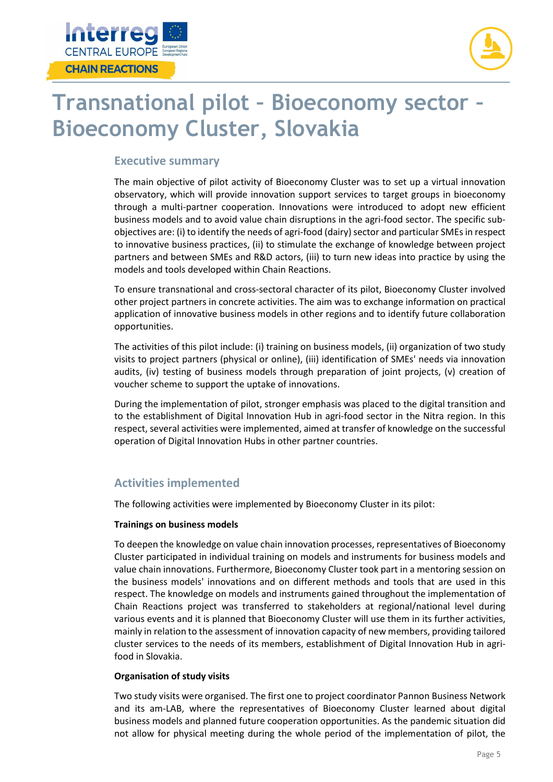



## **Transnational pilot – Bioeconomy sector – Bioeconomy Cluster, Slovakia**

### **Executive summary**

The main objective of pilot activity of Bioeconomy Cluster was to set up a virtual innovation observatory, which will provide innovation support services to target groups in bioeconomy through a multi-partner cooperation. Innovations were introduced to adopt new efficient business models and to avoid value chain disruptions in the agri-food sector. The specific subobjectives are: (i) to identify the needs of agri-food (dairy) sector and particular SMEs in respect to innovative business practices, (ii) to stimulate the exchange of knowledge between project partners and between SMEs and R&D actors, (iii) to turn new ideas into practice by using the models and tools developed within Chain Reactions.

To ensure transnational and cross-sectoral character of its pilot, Bioeconomy Cluster involved other project partners in concrete activities. The aim was to exchange information on practical application of innovative business models in other regions and to identify future collaboration opportunities.

The activities of this pilot include: (i) training on business models, (ii) organization of two study visits to project partners (physical or online), (iii) identification of SMEs' needs via innovation audits, (iv) testing of business models through preparation of joint projects, (v) creation of voucher scheme to support the uptake of innovations.

During the implementation of pilot, stronger emphasis was placed to the digital transition and to the establishment of Digital Innovation Hub in agri-food sector in the Nitra region. In this respect, several activities were implemented, aimed at transfer of knowledge on the successful operation of Digital Innovation Hubs in other partner countries.

### **Activities implemented**

The following activities were implemented by Bioeconomy Cluster in its pilot:

#### **Trainings on business models**

To deepen the knowledge on value chain innovation processes, representatives of Bioeconomy Cluster participated in individual training on models and instruments for business models and value chain innovations. Furthermore, Bioeconomy Cluster took part in a mentoring session on the business models' innovations and on different methods and tools that are used in this respect. The knowledge on models and instruments gained throughout the implementation of Chain Reactions project was transferred to stakeholders at regional/national level during various events and it is planned that Bioeconomy Cluster will use them in its further activities, mainly in relation to the assessment of innovation capacity of new members, providing tailored cluster services to the needs of its members, establishment of Digital Innovation Hub in agrifood in Slovakia.

#### **Organisation of study visits**

Two study visits were organised. The first one to project coordinator Pannon Business Network and its am-LAB, where the representatives of Bioeconomy Cluster learned about digital business models and planned future cooperation opportunities. As the pandemic situation did not allow for physical meeting during the whole period of the implementation of pilot, the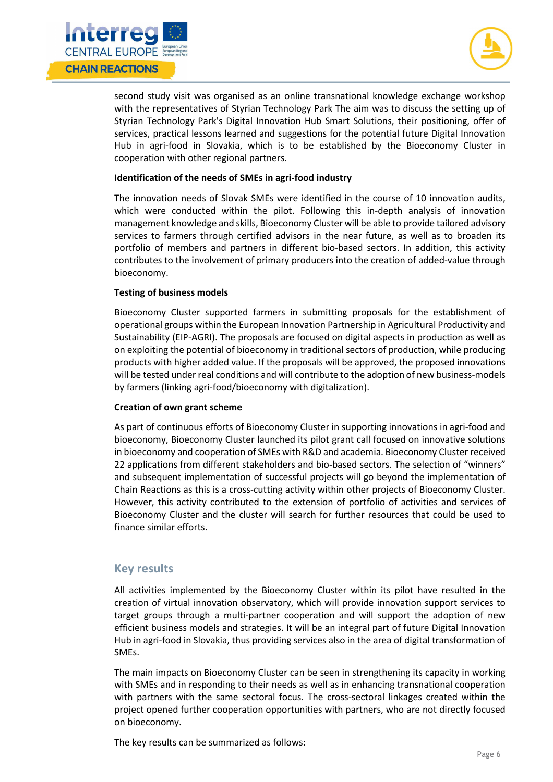



second study visit was organised as an online transnational knowledge exchange workshop with the representatives of Styrian Technology Park The aim was to discuss the setting up of Styrian Technology Park's Digital Innovation Hub Smart Solutions, their positioning, offer of services, practical lessons learned and suggestions for the potential future Digital Innovation Hub in agri-food in Slovakia, which is to be established by the Bioeconomy Cluster in cooperation with other regional partners.

#### **Identification of the needs of SMEs in agri-food industry**

The innovation needs of Slovak SMEs were identified in the course of 10 innovation audits, which were conducted within the pilot. Following this in-depth analysis of innovation management knowledge and skills, Bioeconomy Cluster will be able to provide tailored advisory services to farmers through certified advisors in the near future, as well as to broaden its portfolio of members and partners in different bio-based sectors. In addition, this activity contributes to the involvement of primary producers into the creation of added-value through bioeconomy.

#### **Testing of business models**

Bioeconomy Cluster supported farmers in submitting proposals for the establishment of operational groups within the European Innovation Partnership in Agricultural Productivity and Sustainability (EIP-AGRI). The proposals are focused on digital aspects in production as well as on exploiting the potential of bioeconomy in traditional sectors of production, while producing products with higher added value. If the proposals will be approved, the proposed innovations will be tested under real conditions and will contribute to the adoption of new business-models by farmers (linking agri-food/bioeconomy with digitalization).

#### **Creation of own grant scheme**

As part of continuous efforts of Bioeconomy Cluster in supporting innovations in agri-food and bioeconomy, Bioeconomy Cluster launched its pilot grant call focused on innovative solutions in bioeconomy and cooperation of SMEs with R&D and academia. Bioeconomy Cluster received 22 applications from different stakeholders and bio-based sectors. The selection of "winners" and subsequent implementation of successful projects will go beyond the implementation of Chain Reactions as this is a cross-cutting activity within other projects of Bioeconomy Cluster. However, this activity contributed to the extension of portfolio of activities and services of Bioeconomy Cluster and the cluster will search for further resources that could be used to finance similar efforts.

### **Key results**

All activities implemented by the Bioeconomy Cluster within its pilot have resulted in the creation of virtual innovation observatory, which will provide innovation support services to target groups through a multi-partner cooperation and will support the adoption of new efficient business models and strategies. It will be an integral part of future Digital Innovation Hub in agri-food in Slovakia, thus providing services also in the area of digital transformation of SMEs.

The main impacts on Bioeconomy Cluster can be seen in strengthening its capacity in working with SMEs and in responding to their needs as well as in enhancing transnational cooperation with partners with the same sectoral focus. The cross-sectoral linkages created within the project opened further cooperation opportunities with partners, who are not directly focused on bioeconomy.

The key results can be summarized as follows: